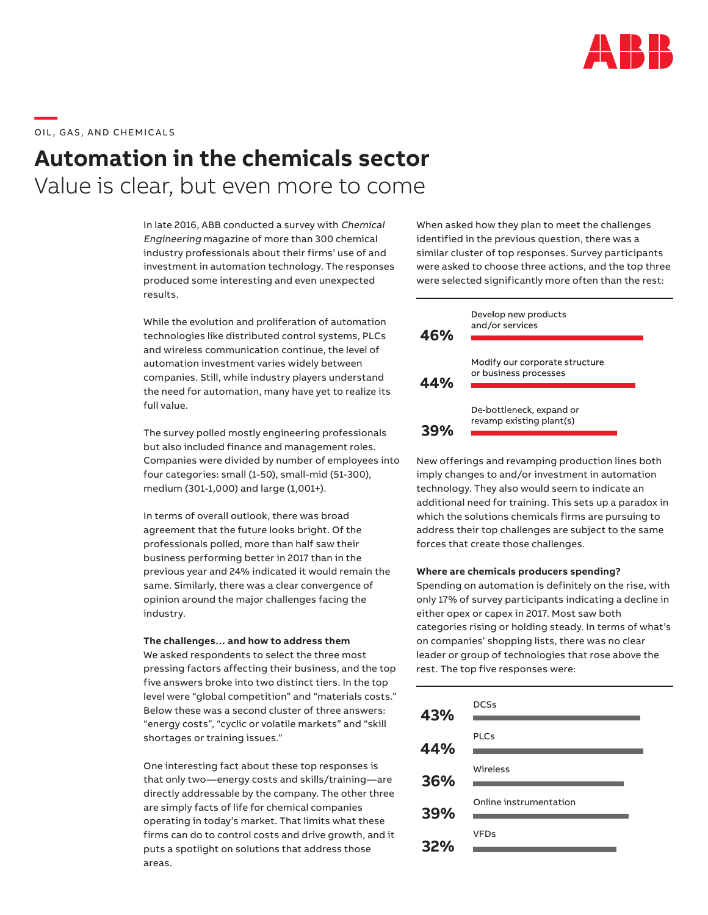

\_\_\_\_\_<br>OIL, GAS, AND CHEMICALS

# **Automation in the chemicals sector** Value is clear, but even more to come

In late 2016, ABB conducted a survey with Chemical Engineering magazine of more than 300 chemical industry professionals about their firms' use of and investment in automation technology. The responses produced some interesting and even unexpected results.

While the evolution and proliferation of automation technologies like distributed control systems, PLCs and wireless communication continue, the level of automation investment varies widely between companies. Still, while industry players understand the need for automation, many have yet to realize its full value.

The survey polled mostly engineering professionals but also included finance and management roles. Companies were divided by number of employees into four categories: small (1-50), small-mid (51-300), medium (301-1,000) and large (1,001+).

In terms of overall outlook, there was broad agreement that the future looks bright. Of the professionals polled, more than half saw their business performing better in 2017 than in the previous year and 24% indicated it would remain the same. Similarly, there was a clear convergence of opinion around the major challenges facing the industry.

#### **The challenges… and how to address them**

We asked respondents to select the three most pressing factors affecting their business, and the top five answers broke into two distinct tiers. In the top level were "global competition" and "materials costs." Below these was a second cluster of three answers: "energy costs", "cyclic or volatile markets" and "skill shortages or training issues."

One interesting fact about these top responses is that only two—energy costs and skills/training—are directly addressable by the company. The other three are simply facts of life for chemical companies operating in today's market. That limits what these firms can do to control costs and drive growth, and it puts a spotlight on solutions that address those areas.

When asked how they plan to meet the challenges identified in the previous question, there was a similar cluster of top responses. Survey participants were asked to choose three actions, and the top three were selected significantly more often than the rest:



New offerings and revamping production lines both imply changes to and/or investment in automation technology. They also would seem to indicate an additional need for training. This sets up a paradox in which the solutions chemicals firms are pursuing to address their top challenges are subject to the same forces that create those challenges.

## **Where are chemicals producers spending?**

Spending on automation is definitely on the rise, with only 17% of survey participants indicating a decline in either opex or capex in 2017. Most saw both categories rising or holding steady. In terms of what's on companies' shopping lists, there was no clear leader or group of technologies that rose above the rest. The top five responses were:

| 43% | <b>DCSs</b>            |
|-----|------------------------|
| 44% | <b>PLCs</b>            |
|     | Wireless               |
| 36% |                        |
| 39% | Online instrumentation |
| 32% | <b>VFDs</b>            |